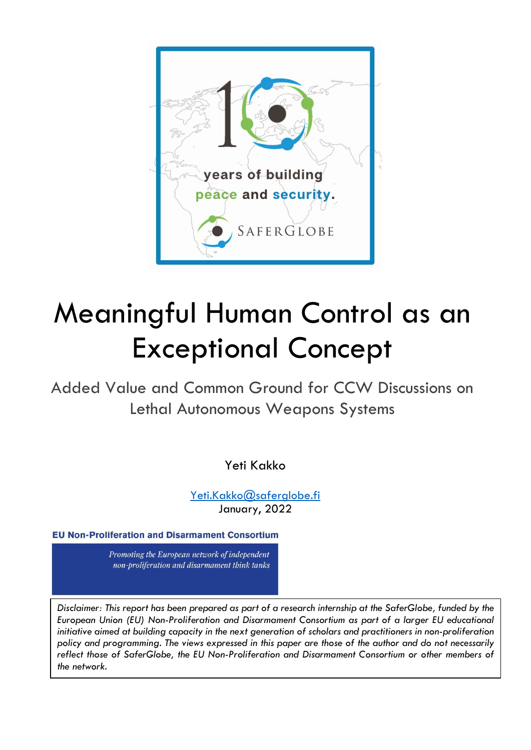

# Meaningful Human Control as an Exceptional Concept

Added Value and Common Ground for CCW Discussions on Lethal Autonomous Weapons Systems

Yeti Kakko

Yeti.Kakko@saferglobe.fi January, 2022

**EU Non-Proliferation and Disarmament Consortium** 

Promoting the European network of independent non-proliferation and disarmament think tanks

Disclaimer: This report has been prepared as part of a research internship at the SaferGlobe, funded by the European Union (EU) Non-Proliferation and Disarmament Consortium as part of a larger EU educational initiative aimed at building capacity in the next generation of scholars and practitioners in non-proliferation policy and programming. The views expressed in this paper are those of the author and do not necessarily reflect those of SaferGlobe, the EU Non-Proliferation and Disarmament Consortium or other members of the network.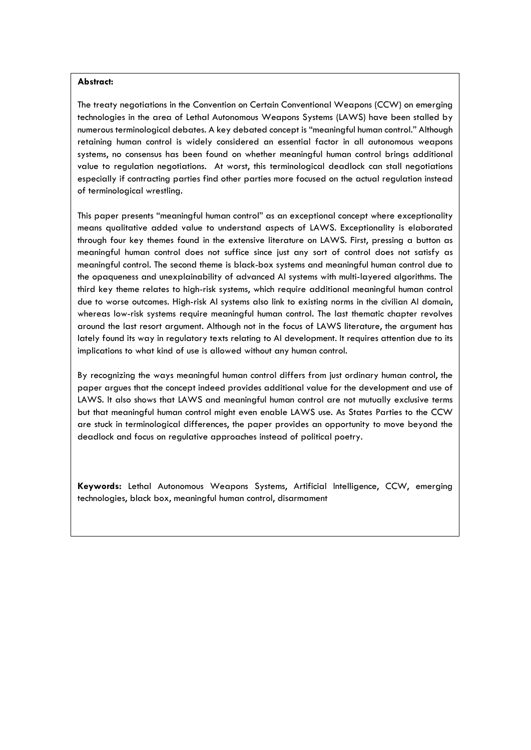#### Abstract:

The treaty negotiations in the Convention on Certain Conventional Weapons (CCW) on emerging technologies in the area of Lethal Autonomous Weapons Systems (LAWS) have been stalled by numerous terminological debates. A key debated concept is "meaningful human control." Although retaining human control is widely considered an essential factor in all autonomous weapons systems, no consensus has been found on whether meaningful human control brings additional value to regulation negotiations. At worst, this terminological deadlock can stall negotiations especially if contracting parties find other parties more focused on the actual regulation instead of terminological wrestling.

This paper presents "meaningful human control" as an exceptional concept where exceptionality means qualitative added value to understand aspects of LAWS. Exceptionality is elaborated through four key themes found in the extensive literature on LAWS. First, pressing a button as meaningful human control does not suffice since just any sort of control does not satisfy as meaningful control. The second theme is black-box systems and meaningful human control due to the opaqueness and unexplainability of advanced AI systems with multi-layered algorithms. The third key theme relates to high-risk systems, which require additional meaningful human control due to worse outcomes. High-risk AI systems also link to existing norms in the civilian AI domain, whereas low-risk systems require meaningful human control. The last thematic chapter revolves around the last resort argument. Although not in the focus of LAWS literature, the argument has lately found its way in regulatory texts relating to AI development. It requires attention due to its implications to what kind of use is allowed without any human control.

By recognizing the ways meaningful human control differs from just ordinary human control, the paper argues that the concept indeed provides additional value for the development and use of LAWS. It also shows that LAWS and meaningful human control are not mutually exclusive terms but that meaningful human control might even enable LAWS use. As States Parties to the CCW are stuck in terminological differences, the paper provides an opportunity to move beyond the deadlock and focus on regulative approaches instead of political poetry.

Keywords: Lethal Autonomous Weapons Systems, Artificial Intelligence, CCW, emerging technologies, black box, meaningful human control, disarmament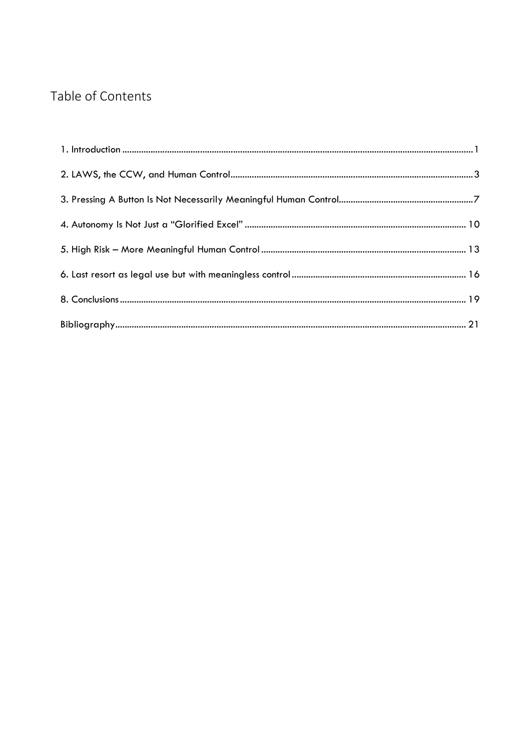# Table of Contents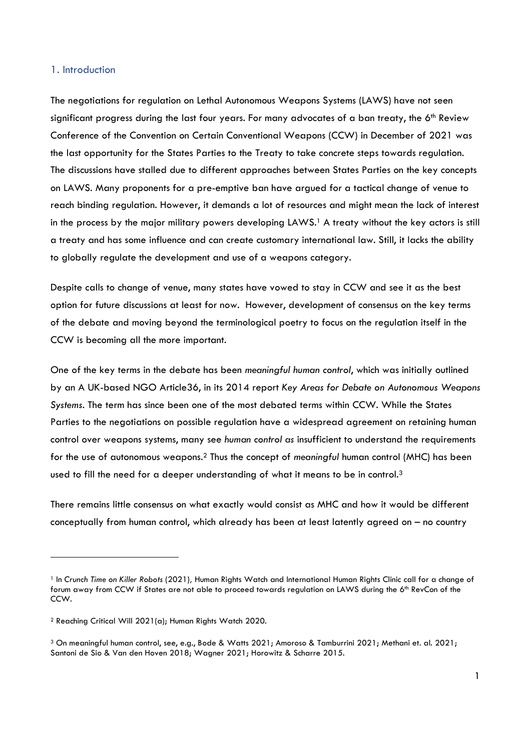#### 1. Introduction

The negotiations for regulation on Lethal Autonomous Weapons Systems (LAWS) have not seen significant progress during the last four years. For many advocates of a ban treaty, the  $6<sup>th</sup>$  Review Conference of the Convention on Certain Conventional Weapons (CCW) in December of 2021 was the last opportunity for the States Parties to the Treaty to take concrete steps towards regulation. The discussions have stalled due to different approaches between States Parties on the key concepts on LAWS. Many proponents for a pre-emptive ban have argued for a tactical change of venue to reach binding regulation. However, it demands a lot of resources and might mean the lack of interest in the process by the major military powers developing LAWS.<sup>1</sup> A treaty without the key actors is still a treaty and has some influence and can create customary international law. Still, it lacks the ability to globally regulate the development and use of a weapons category.

Despite calls to change of venue, many states have vowed to stay in CCW and see it as the best option for future discussions at least for now. However, development of consensus on the key terms of the debate and moving beyond the terminological poetry to focus on the regulation itself in the CCW is becoming all the more important.

One of the key terms in the debate has been meaningful human control, which was initially outlined by an A UK-based NGO Article36, in its 2014 report Key Areas for Debate on Autonomous Weapons Systems. The term has since been one of the most debated terms within CCW. While the States Parties to the negotiations on possible regulation have a widespread agreement on retaining human control over weapons systems, many see human control as insufficient to understand the requirements for the use of autonomous weapons.2 Thus the concept of meaningful human control (MHC) has been used to fill the need for a deeper understanding of what it means to be in control.<sup>3</sup>

There remains little consensus on what exactly would consist as MHC and how it would be different conceptually from human control, which already has been at least latently agreed on – no country

<sup>&</sup>lt;sup>1</sup> In Crunch Time on Killer Robots (2021), Human Rights Watch and International Human Rights Clinic call for a change of forum away from CCW if States are not able to proceed towards regulation on LAWS during the 6<sup>th</sup> RevCon of the CCW.

<sup>2</sup> Reaching Critical Will 2021(a); Human Rights Watch 2020.

<sup>3</sup> On meaningful human control, see, e.g., Bode & Watts 2021; Amoroso & Tamburrini 2021; Methani et. al. 2021; Santoni de Sio & Van den Hoven 2018; Wagner 2021; Horowitz & Scharre 2015.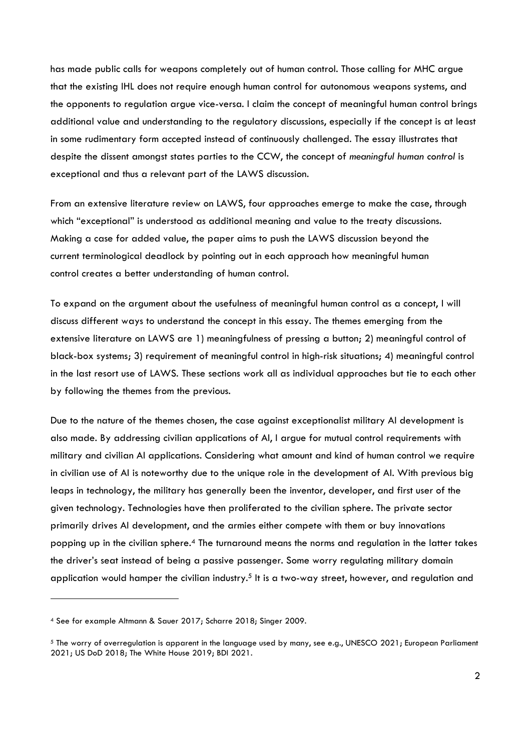has made public calls for weapons completely out of human control. Those calling for MHC argue that the existing IHL does not require enough human control for autonomous weapons systems, and the opponents to regulation argue vice-versa. I claim the concept of meaningful human control brings additional value and understanding to the regulatory discussions, especially if the concept is at least in some rudimentary form accepted instead of continuously challenged. The essay illustrates that despite the dissent amongst states parties to the CCW, the concept of meaningful human control is exceptional and thus a relevant part of the LAWS discussion.

From an extensive literature review on LAWS, four approaches emerge to make the case, through which "exceptional" is understood as additional meaning and value to the treaty discussions. Making a case for added value, the paper aims to push the LAWS discussion beyond the current terminological deadlock by pointing out in each approach how meaningful human control creates a better understanding of human control.

To expand on the argument about the usefulness of meaningful human control as a concept, I will discuss different ways to understand the concept in this essay. The themes emerging from the extensive literature on LAWS are 1) meaningfulness of pressing a button; 2) meaningful control of black-box systems; 3) requirement of meaningful control in high-risk situations; 4) meaningful control in the last resort use of LAWS. These sections work all as individual approaches but tie to each other by following the themes from the previous.

Due to the nature of the themes chosen, the case against exceptionalist military AI development is also made. By addressing civilian applications of AI, I argue for mutual control requirements with military and civilian AI applications. Considering what amount and kind of human control we require in civilian use of AI is noteworthy due to the unique role in the development of AI. With previous big leaps in technology, the military has generally been the inventor, developer, and first user of the given technology. Technologies have then proliferated to the civilian sphere. The private sector primarily drives AI development, and the armies either compete with them or buy innovations popping up in the civilian sphere.4 The turnaround means the norms and regulation in the latter takes the driver's seat instead of being a passive passenger. Some worry regulating military domain application would hamper the civilian industry.<sup>5</sup> It is a two-way street, however, and regulation and

<sup>4</sup> See for example Altmann & Sauer 2017; Scharre 2018; Singer 2009.

<sup>5</sup> The worry of overregulation is apparent in the language used by many, see e.g., UNESCO 2021; European Parliament 2021; US DoD 2018; The White House 2019; BDI 2021.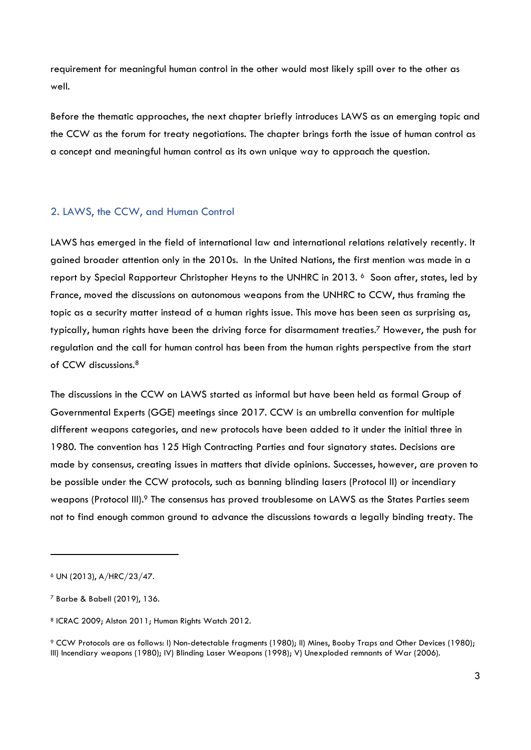requirement for meaningful human control in the other would most likely spill over to the other as well.

Before the thematic approaches, the next chapter briefly introduces LAWS as an emerging topic and the CCW as the forum for treaty negotiations. The chapter brings forth the issue of human control as a concept and meaningful human control as its own unique way to approach the question.

## 2. LAWS, the CCW, and Human Control

LAWS has emerged in the field of international law and international relations relatively recently. It gained broader attention only in the 2010s. In the United Nations, the first mention was made in a report by Special Rapporteur Christopher Heyns to the UNHRC in 2013. 6 Soon after, states, led by France, moved the discussions on autonomous weapons from the UNHRC to CCW, thus framing the topic as a security matter instead of a human rights issue. This move has been seen as surprising as, typically, human rights have been the driving force for disarmament treaties.7 However, the push for regulation and the call for human control has been from the human rights perspective from the start of CCW discussions.<sup>8</sup>

The discussions in the CCW on LAWS started as informal but have been held as formal Group of Governmental Experts (GGE) meetings since 2017. CCW is an umbrella convention for multiple different weapons categories, and new protocols have been added to it under the initial three in 1980. The convention has 125 High Contracting Parties and four signatory states. Decisions are made by consensus, creating issues in matters that divide opinions. Successes, however, are proven to be possible under the CCW protocols, such as banning blinding lasers (Protocol II) or incendiary weapons (Protocol III).<sup>9</sup> The consensus has proved troublesome on LAWS as the States Parties seem not to find enough common ground to advance the discussions towards a legally binding treaty. The

<sup>6</sup> UN (2013), A/HRC/23/47.

<sup>7</sup> Barbe & Babell (2019), 136.

<sup>8</sup> ICRAC 2009; Alston 2011; Human Rights Watch 2012.

<sup>9</sup> CCW Protocols are as follows: I) Non-detectable fragments (1980); II) Mines, Booby Traps and Other Devices (1980); III) Incendiary weapons (1980); IV) Blinding Laser Weapons (1998); V) Unexploded remnants of War (2006).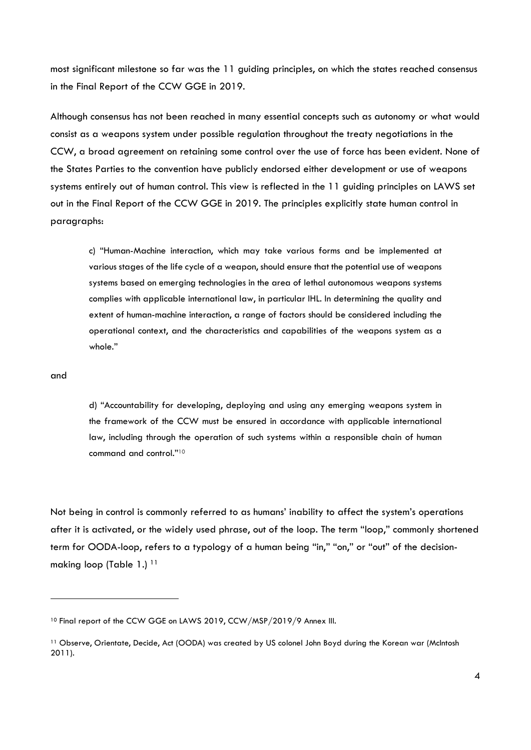most significant milestone so far was the 11 guiding principles, on which the states reached consensus in the Final Report of the CCW GGE in 2019.

Although consensus has not been reached in many essential concepts such as autonomy or what would consist as a weapons system under possible regulation throughout the treaty negotiations in the CCW, a broad agreement on retaining some control over the use of force has been evident. None of the States Parties to the convention have publicly endorsed either development or use of weapons systems entirely out of human control. This view is reflected in the 11 guiding principles on LAWS set out in the Final Report of the CCW GGE in 2019. The principles explicitly state human control in paragraphs:

c) "Human-Machine interaction, which may take various forms and be implemented at various stages of the life cycle of a weapon, should ensure that the potential use of weapons systems based on emerging technologies in the area of lethal autonomous weapons systems complies with applicable international law, in particular IHL. In determining the quality and extent of human-machine interaction, a range of factors should be considered including the operational context, and the characteristics and capabilities of the weapons system as a whole."

#### and

d) "Accountability for developing, deploying and using any emerging weapons system in the framework of the CCW must be ensured in accordance with applicable international law, including through the operation of such systems within a responsible chain of human command and control."<sup>10</sup>

Not being in control is commonly referred to as humans' inability to affect the system's operations after it is activated, or the widely used phrase, out of the loop. The term "loop," commonly shortened term for OODA-loop, refers to a typology of a human being "in," "on," or "out" of the decisionmaking loop (Table 1.)<sup>11</sup>

<sup>&</sup>lt;sup>10</sup> Final report of the CCW GGE on LAWS 2019, CCW/MSP/2019/9 Annex III.

<sup>11</sup> Observe, Orientate, Decide, Act (OODA) was created by US colonel John Boyd during the Korean war (McIntosh 2011).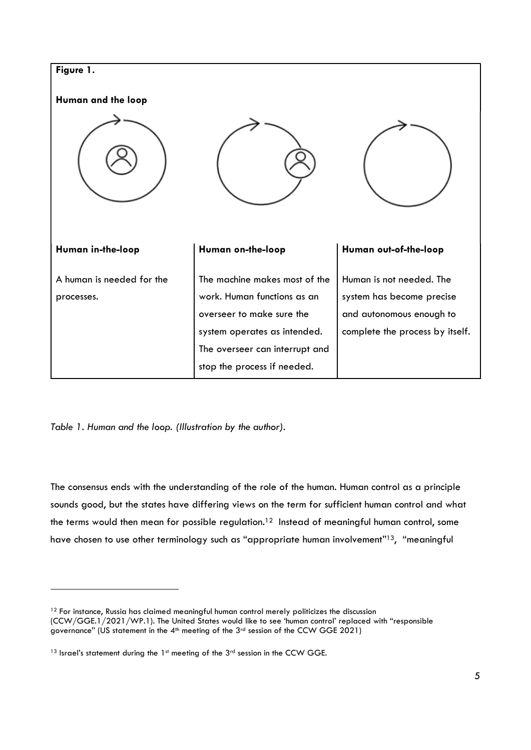

Table 1. Human and the loop. (Illustration by the author).

The consensus ends with the understanding of the role of the human. Human control as a principle sounds good, but the states have differing views on the term for sufficient human control and what the terms would then mean for possible regulation.<sup>12</sup> Instead of meaningful human control, some have chosen to use other terminology such as "appropriate human involvement"13, "meaningful

<sup>&</sup>lt;sup>12</sup> For instance, Russia has claimed meaningful human control merely politicizes the discussion (CCW/GGE.1/2021/WP.1). The United States would like to see 'human control' replaced with "responsible governance" (US statement in the 4<sup>th</sup> meeting of the 3<sup>rd</sup> session of the CCW GGE 2021)

<sup>13</sup> Israel's statement during the 1st meeting of the 3rd session in the CCW GGE.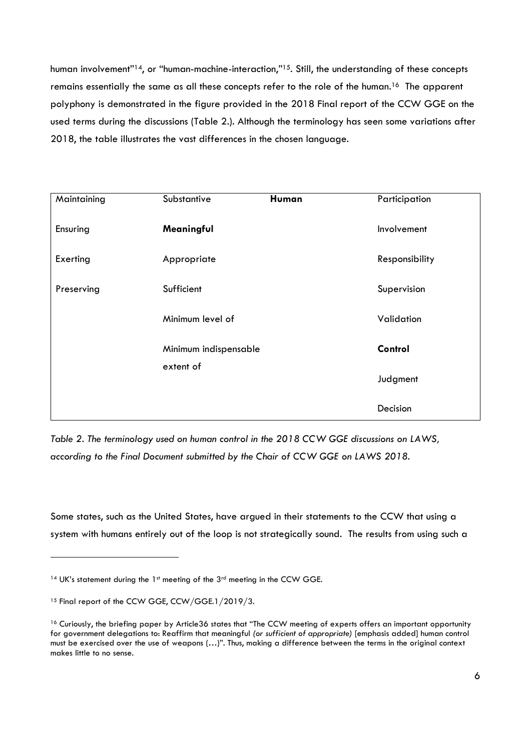human involvement"<sup>14</sup>, or "human-machine-interaction,"<sup>15</sup>. Still, the understanding of these concepts remains essentially the same as all these concepts refer to the role of the human.16 The apparent polyphony is demonstrated in the figure provided in the 2018 Final report of the CCW GGE on the used terms during the discussions (Table 2.). Although the terminology has seen some variations after 2018, the table illustrates the vast differences in the chosen language.

| Maintaining | Substantive                        | Human   | Participation  |
|-------------|------------------------------------|---------|----------------|
| Ensuring    | Meaningful                         |         | Involvement    |
| Exerting    | Appropriate                        |         | Responsibility |
| Preserving  | Sufficient                         |         | Supervision    |
|             | Minimum level of                   |         | Validation     |
|             | Minimum indispensable<br>extent of | Control |                |
|             |                                    |         | Judgment       |
|             |                                    |         | Decision       |

Table 2. The terminology used on human control in the 2018 CCW GGE discussions on LAWS, according to the Final Document submitted by the Chair of CCW GGE on LAWS 2018.

Some states, such as the United States, have argued in their statements to the CCW that using a system with humans entirely out of the loop is not strategically sound. The results from using such a

<sup>14</sup> UK's statement during the 1st meeting of the 3rd meeting in the CCW GGE.

<sup>&</sup>lt;sup>15</sup> Final report of the CCW GGE, CCW/GGE.1/2019/3.

<sup>&</sup>lt;sup>16</sup> Curiously, the briefing paper by Article36 states that "The CCW meeting of experts offers an important opportunity for government delegations to: Reaffirm that meaningful (or sufficient of appropriate) [emphasis added] human control must be exercised over the use of weapons (…)". Thus, making a difference between the terms in the original context makes little to no sense.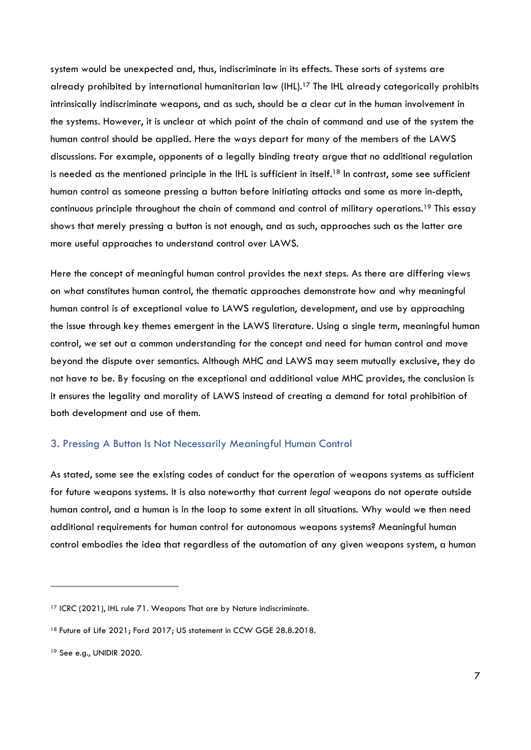system would be unexpected and, thus, indiscriminate in its effects. These sorts of systems are already prohibited by international humanitarian law (IHL).17 The IHL already categorically prohibits intrinsically indiscriminate weapons, and as such, should be a clear cut in the human involvement in the systems. However, it is unclear at which point of the chain of command and use of the system the human control should be applied. Here the ways depart for many of the members of the LAWS discussions. For example, opponents of a legally binding treaty argue that no additional regulation is needed as the mentioned principle in the IHL is sufficient in itself.18 In contrast, some see sufficient human control as someone pressing a button before initiating attacks and some as more in-depth, continuous principle throughout the chain of command and control of military operations.19 This essay shows that merely pressing a button is not enough, and as such, approaches such as the latter are more useful approaches to understand control over LAWS.

Here the concept of meaningful human control provides the next steps. As there are differing views on what constitutes human control, the thematic approaches demonstrate how and why meaningful human control is of exceptional value to LAWS regulation, development, and use by approaching the issue through key themes emergent in the LAWS literature. Using a single term, meaningful human control, we set out a common understanding for the concept and need for human control and move beyond the dispute over semantics. Although MHC and LAWS may seem mutually exclusive, they do not have to be. By focusing on the exceptional and additional value MHC provides, the conclusion is it ensures the legality and morality of LAWS instead of creating a demand for total prohibition of both development and use of them.

## 3. Pressing A Button Is Not Necessarily Meaningful Human Control

As stated, some see the existing codes of conduct for the operation of weapons systems as sufficient for future weapons systems. It is also noteworthy that current legal weapons do not operate outside human control, and a human is in the loop to some extent in all situations. Why would we then need additional requirements for human control for autonomous weapons systems? Meaningful human control embodies the idea that regardless of the automation of any given weapons system, a human

<sup>&</sup>lt;sup>17</sup> ICRC (2021), IHL rule 71. Weapons That are by Nature indiscriminate.

<sup>&</sup>lt;sup>18</sup> Future of Life 2021; Ford 2017; US statement in CCW GGE 28.8.2018.

<sup>19</sup> See e.g., UNIDIR 2020.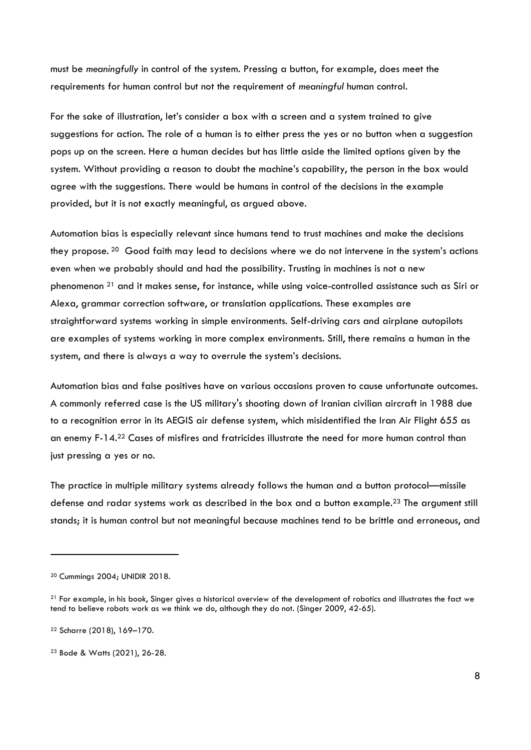must be meaningfully in control of the system. Pressing a button, for example, does meet the requirements for human control but not the requirement of meaningful human control.

For the sake of illustration, let's consider a box with a screen and a system trained to give suggestions for action. The role of a human is to either press the yes or no button when a suggestion pops up on the screen. Here a human decides but has little aside the limited options given by the system. Without providing a reason to doubt the machine's capability, the person in the box would agree with the suggestions. There would be humans in control of the decisions in the example provided, but it is not exactly meaningful, as argued above.

Automation bias is especially relevant since humans tend to trust machines and make the decisions they propose. 20 Good faith may lead to decisions where we do not intervene in the system's actions even when we probably should and had the possibility. Trusting in machines is not a new phenomenon 21 and it makes sense, for instance, while using voice-controlled assistance such as Siri or Alexa, grammar correction software, or translation applications. These examples are straightforward systems working in simple environments. Self-driving cars and airplane autopilots are examples of systems working in more complex environments. Still, there remains a human in the system, and there is always a way to overrule the system's decisions.

Automation bias and false positives have on various occasions proven to cause unfortunate outcomes. A commonly referred case is the US military's shooting down of Iranian civilian aircraft in 1988 due to a recognition error in its AEGIS air defense system, which misidentified the Iran Air Flight 655 as an enemy F-14.22 Cases of misfires and fratricides illustrate the need for more human control than just pressing a yes or no.

The practice in multiple military systems already follows the human and a button protocol—missile defense and radar systems work as described in the box and a button example.23 The argument still stands; it is human control but not meaningful because machines tend to be brittle and erroneous, and

<sup>20</sup> Cummings 2004; UNIDIR 2018.

<sup>&</sup>lt;sup>21</sup> For example, in his book, Singer gives a historical overview of the development of robotics and illustrates the fact we tend to believe robots work as we think we do, although they do not. (Singer 2009, 42-65).

<sup>22</sup> Scharre (2018), 169–170.

<sup>23</sup> Bode & Watts (2021), 26-28.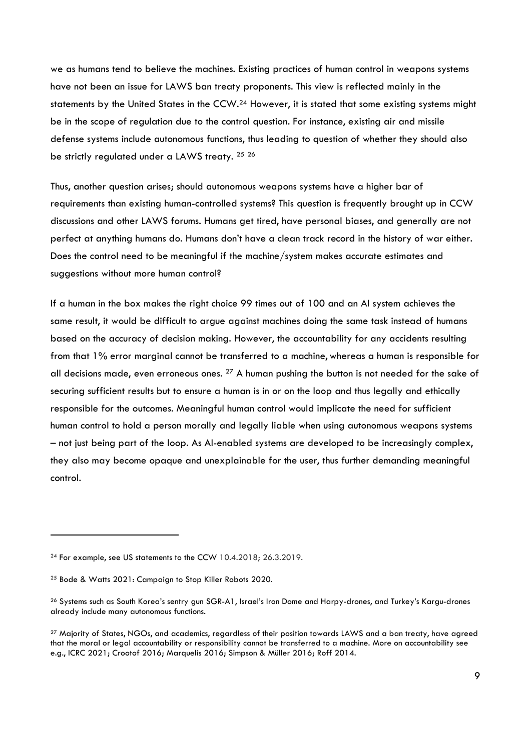we as humans tend to believe the machines. Existing practices of human control in weapons systems have not been an issue for LAWS ban treaty proponents. This view is reflected mainly in the statements by the United States in the CCW.<sup>24</sup> However, it is stated that some existing systems might be in the scope of regulation due to the control question. For instance, existing air and missile defense systems include autonomous functions, thus leading to question of whether they should also be strictly regulated under a LAWS treaty. <sup>25</sup> <sup>26</sup>

Thus, another question arises; should autonomous weapons systems have a higher bar of requirements than existing human-controlled systems? This question is frequently brought up in CCW discussions and other LAWS forums. Humans get tired, have personal biases, and generally are not perfect at anything humans do. Humans don't have a clean track record in the history of war either. Does the control need to be meaningful if the machine/system makes accurate estimates and suggestions without more human control?

If a human in the box makes the right choice 99 times out of 100 and an AI system achieves the same result, it would be difficult to argue against machines doing the same task instead of humans based on the accuracy of decision making. However, the accountability for any accidents resulting from that 1% error marginal cannot be transferred to a machine, whereas a human is responsible for all decisions made, even erroneous ones.  $27$  A human pushing the button is not needed for the sake of securing sufficient results but to ensure a human is in or on the loop and thus legally and ethically responsible for the outcomes. Meaningful human control would implicate the need for sufficient human control to hold a person morally and legally liable when using autonomous weapons systems – not just being part of the loop. As AI-enabled systems are developed to be increasingly complex, they also may become opaque and unexplainable for the user, thus further demanding meaningful control.

<sup>24</sup> For example, see US statements to the CCW 10.4.2018; 26.3.2019.

<sup>25</sup> Bode & Watts 2021: Campaign to Stop Killer Robots 2020.

<sup>&</sup>lt;sup>26</sup> Systems such as South Korea's sentry gun SGR-A1, Israel's Iron Dome and Harpy-drones, and Turkey's Kargu-drones already include many autonomous functions.

<sup>&</sup>lt;sup>27</sup> Majority of States, NGOs, and academics, regardless of their position towards LAWS and a ban treaty, have agreed that the moral or legal accountability or responsibility cannot be transferred to a machine. More on accountability see e.g., ICRC 2021; Crootof 2016; Marquelis 2016; Simpson & Müller 2016; Roff 2014.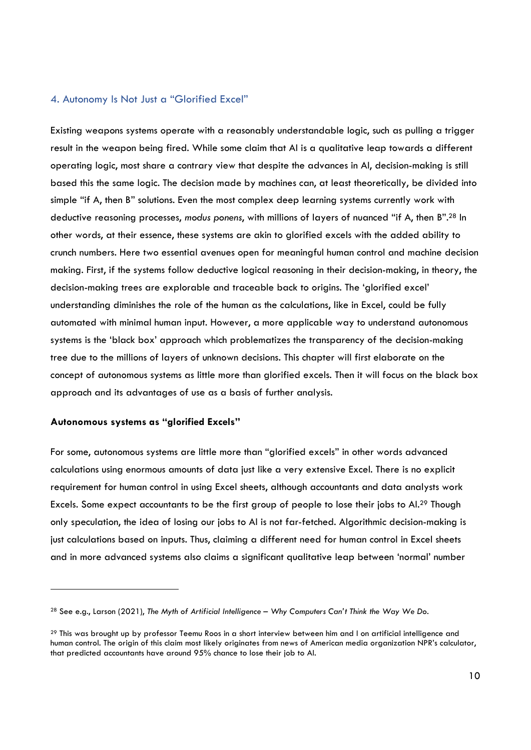#### 4. Autonomy Is Not Just a "Glorified Excel"

Existing weapons systems operate with a reasonably understandable logic, such as pulling a trigger result in the weapon being fired. While some claim that AI is a qualitative leap towards a different operating logic, most share a contrary view that despite the advances in AI, decision-making is still based this the same logic. The decision made by machines can, at least theoretically, be divided into simple "if A, then B" solutions. Even the most complex deep learning systems currently work with deductive reasoning processes, modus ponens, with millions of layers of nuanced "if A, then B".28 In other words, at their essence, these systems are akin to glorified excels with the added ability to crunch numbers. Here two essential avenues open for meaningful human control and machine decision making. First, if the systems follow deductive logical reasoning in their decision-making, in theory, the decision-making trees are explorable and traceable back to origins. The 'glorified excel' understanding diminishes the role of the human as the calculations, like in Excel, could be fully automated with minimal human input. However, a more applicable way to understand autonomous systems is the 'black box' approach which problematizes the transparency of the decision-making tree due to the millions of layers of unknown decisions. This chapter will first elaborate on the concept of autonomous systems as little more than glorified excels. Then it will focus on the black box approach and its advantages of use as a basis of further analysis.

#### Autonomous systems as "glorified Excels"

For some, autonomous systems are little more than "glorified excels" in other words advanced calculations using enormous amounts of data just like a very extensive Excel. There is no explicit requirement for human control in using Excel sheets, although accountants and data analysts work Excels. Some expect accountants to be the first group of people to lose their jobs to AI.29 Though only speculation, the idea of losing our jobs to AI is not far-fetched. Algorithmic decision-making is just calculations based on inputs. Thus, claiming a different need for human control in Excel sheets and in more advanced systems also claims a significant qualitative leap between 'normal' number

<sup>&</sup>lt;sup>28</sup> See e.g., Larson (2021), The Myth of Artificial Intelligence – Why Computers Can't Think the Way We Do.

<sup>&</sup>lt;sup>29</sup> This was brought up by professor Teemu Roos in a short interview between him and I on artificial intelligence and human control. The origin of this claim most likely originates from news of American media organization NPR's calculator, that predicted accountants have around 95% chance to lose their job to AI.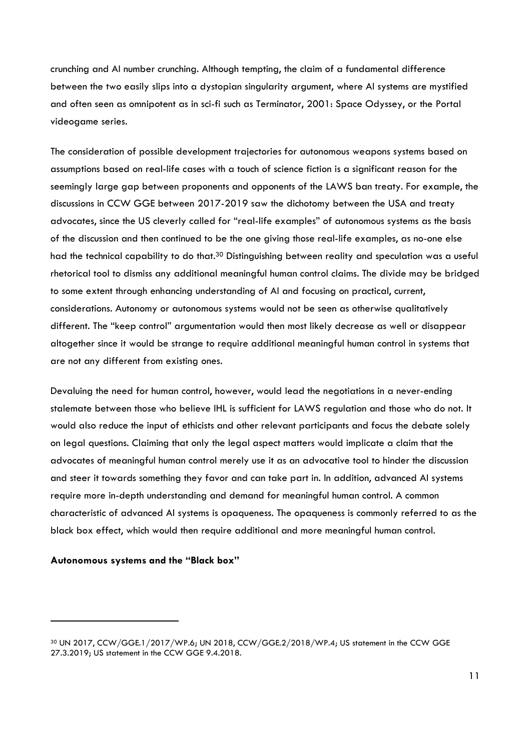crunching and AI number crunching. Although tempting, the claim of a fundamental difference between the two easily slips into a dystopian singularity argument, where AI systems are mystified and often seen as omnipotent as in sci-fi such as Terminator, 2001: Space Odyssey, or the Portal videogame series.

The consideration of possible development trajectories for autonomous weapons systems based on assumptions based on real-life cases with a touch of science fiction is a significant reason for the seemingly large gap between proponents and opponents of the LAWS ban treaty. For example, the discussions in CCW GGE between 2017-2019 saw the dichotomy between the USA and treaty advocates, since the US cleverly called for "real-life examples" of autonomous systems as the basis of the discussion and then continued to be the one giving those real-life examples, as no-one else had the technical capability to do that.<sup>30</sup> Distinguishing between reality and speculation was a useful rhetorical tool to dismiss any additional meaningful human control claims. The divide may be bridged to some extent through enhancing understanding of AI and focusing on practical, current, considerations. Autonomy or autonomous systems would not be seen as otherwise qualitatively different. The "keep control" argumentation would then most likely decrease as well or disappear altogether since it would be strange to require additional meaningful human control in systems that are not any different from existing ones.

Devaluing the need for human control, however, would lead the negotiations in a never-ending stalemate between those who believe IHL is sufficient for LAWS regulation and those who do not. It would also reduce the input of ethicists and other relevant participants and focus the debate solely on legal questions. Claiming that only the legal aspect matters would implicate a claim that the advocates of meaningful human control merely use it as an advocative tool to hinder the discussion and steer it towards something they favor and can take part in. In addition, advanced AI systems require more in-depth understanding and demand for meaningful human control. A common characteristic of advanced AI systems is opaqueness. The opaqueness is commonly referred to as the black box effect, which would then require additional and more meaningful human control.

#### Autonomous systems and the "Black box"

<sup>30</sup> UN 2017, CCW/GGE.1/2017/WP.6; UN 2018, CCW/GGE.2/2018/WP.4; US statement in the CCW GGE 27.3.2019; US statement in the CCW GGE 9.4.2018.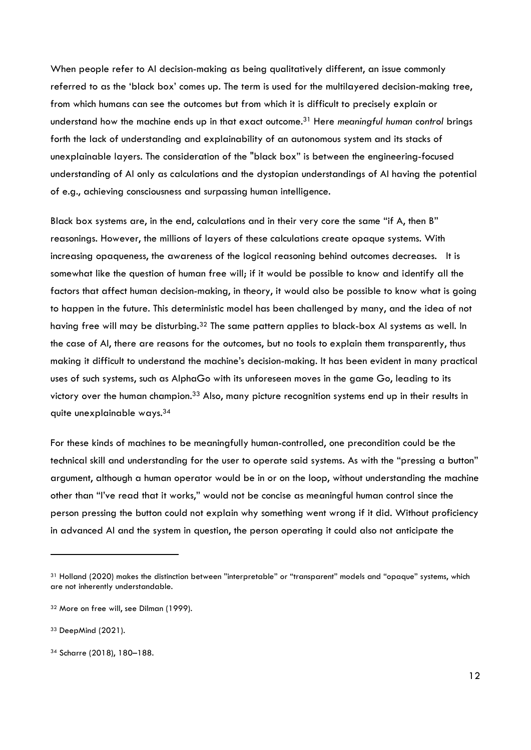When people refer to AI decision-making as being qualitatively different, an issue commonly referred to as the 'black box' comes up. The term is used for the multilayered decision-making tree, from which humans can see the outcomes but from which it is difficult to precisely explain or understand how the machine ends up in that exact outcome.<sup>31</sup> Here meaningful human control brings forth the lack of understanding and explainability of an autonomous system and its stacks of unexplainable layers. The consideration of the "black box" is between the engineering-focused understanding of AI only as calculations and the dystopian understandings of AI having the potential of e.g., achieving consciousness and surpassing human intelligence.

Black box systems are, in the end, calculations and in their very core the same "if A, then B" reasonings. However, the millions of layers of these calculations create opaque systems. With increasing opaqueness, the awareness of the logical reasoning behind outcomes decreases. It is somewhat like the question of human free will; if it would be possible to know and identify all the factors that affect human decision-making, in theory, it would also be possible to know what is going to happen in the future. This deterministic model has been challenged by many, and the idea of not having free will may be disturbing.<sup>32</sup> The same pattern applies to black-box AI systems as well. In the case of AI, there are reasons for the outcomes, but no tools to explain them transparently, thus making it difficult to understand the machine's decision-making. It has been evident in many practical uses of such systems, such as AlphaGo with its unforeseen moves in the game Go, leading to its victory over the human champion.<sup>33</sup> Also, many picture recognition systems end up in their results in quite unexplainable ways.<sup>34</sup>

For these kinds of machines to be meaningfully human-controlled, one precondition could be the technical skill and understanding for the user to operate said systems. As with the "pressing a button" argument, although a human operator would be in or on the loop, without understanding the machine other than "I've read that it works," would not be concise as meaningful human control since the person pressing the button could not explain why something went wrong if it did. Without proficiency in advanced AI and the system in question, the person operating it could also not anticipate the

<sup>31</sup> Holland (2020) makes the distinction between "interpretable" or "transparent" models and "opaque" systems, which are not inherently understandable.

<sup>32</sup> More on free will, see Dilman (1999).

<sup>33</sup> DeepMind (2021).

<sup>34</sup> Scharre (2018), 180–188.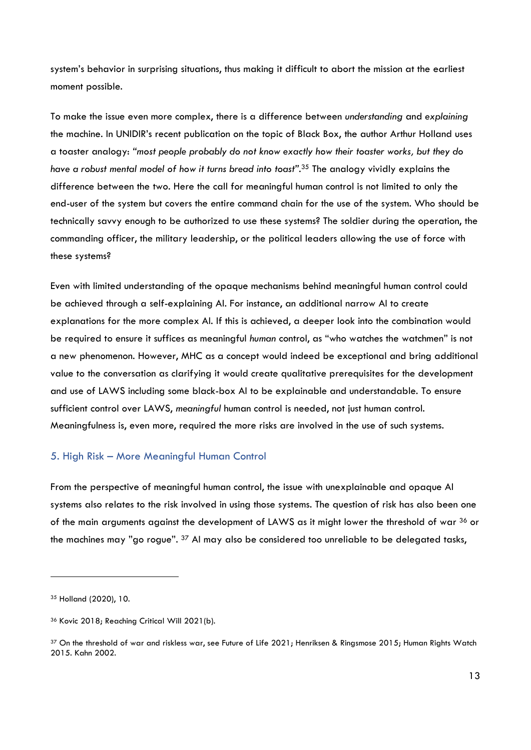system's behavior in surprising situations, thus making it difficult to abort the mission at the earliest moment possible.

To make the issue even more complex, there is a difference between understanding and explaining the machine. In UNIDIR's recent publication on the topic of Black Box, the author Arthur Holland uses a toaster analogy: "most people probably do not know exactly how their toaster works, but they do have a robust mental model of how it turns bread into toast".<sup>35</sup> The analogy vividly explains the difference between the two. Here the call for meaningful human control is not limited to only the end-user of the system but covers the entire command chain for the use of the system. Who should be technically savvy enough to be authorized to use these systems? The soldier during the operation, the commanding officer, the military leadership, or the political leaders allowing the use of force with these systems?

Even with limited understanding of the opaque mechanisms behind meaningful human control could be achieved through a self-explaining AI. For instance, an additional narrow AI to create explanations for the more complex AI. If this is achieved, a deeper look into the combination would be required to ensure it suffices as meaningful human control, as "who watches the watchmen" is not a new phenomenon. However, MHC as a concept would indeed be exceptional and bring additional value to the conversation as clarifying it would create qualitative prerequisites for the development and use of LAWS including some black-box AI to be explainable and understandable. To ensure sufficient control over LAWS, meaningful human control is needed, not just human control. Meaningfulness is, even more, required the more risks are involved in the use of such systems.

# 5. High Risk – More Meaningful Human Control

From the perspective of meaningful human control, the issue with unexplainable and opaque AI systems also relates to the risk involved in using those systems. The question of risk has also been one of the main arguments against the development of LAWS as it might lower the threshold of war <sup>36</sup> or the machines may "go rogue". 37 AI may also be considered too unreliable to be delegated tasks,

<sup>35</sup> Holland (2020), 10.

<sup>36</sup> Kovic 2018; Reaching Critical Will 2021(b).

<sup>37</sup> On the threshold of war and riskless war, see Future of Life 2021; Henriksen & Ringsmose 2015; Human Rights Watch 2015. Kahn 2002.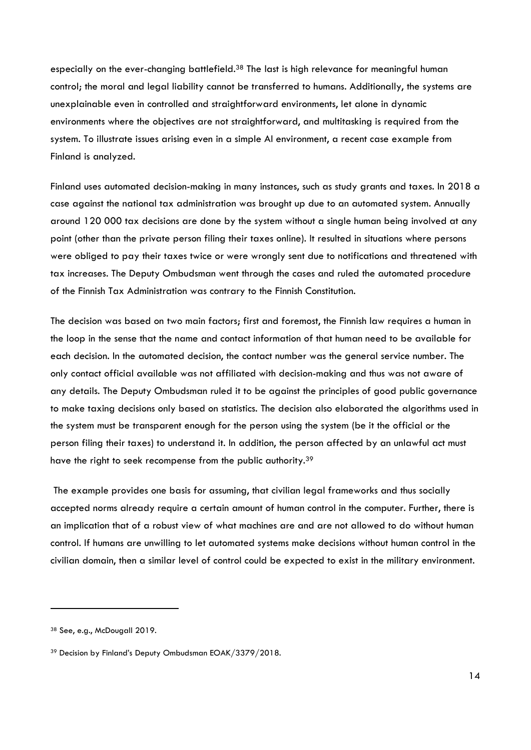especially on the ever-changing battlefield.<sup>38</sup> The last is high relevance for meaningful human control; the moral and legal liability cannot be transferred to humans. Additionally, the systems are unexplainable even in controlled and straightforward environments, let alone in dynamic environments where the objectives are not straightforward, and multitasking is required from the system. To illustrate issues arising even in a simple AI environment, a recent case example from Finland is analyzed.

Finland uses automated decision-making in many instances, such as study grants and taxes. In 2018 a case against the national tax administration was brought up due to an automated system. Annually around 120 000 tax decisions are done by the system without a single human being involved at any point (other than the private person filing their taxes online). It resulted in situations where persons were obliged to pay their taxes twice or were wrongly sent due to notifications and threatened with tax increases. The Deputy Ombudsman went through the cases and ruled the automated procedure of the Finnish Tax Administration was contrary to the Finnish Constitution.

The decision was based on two main factors; first and foremost, the Finnish law requires a human in the loop in the sense that the name and contact information of that human need to be available for each decision. In the automated decision, the contact number was the general service number. The only contact official available was not affiliated with decision-making and thus was not aware of any details. The Deputy Ombudsman ruled it to be against the principles of good public governance to make taxing decisions only based on statistics. The decision also elaborated the algorithms used in the system must be transparent enough for the person using the system (be it the official or the person filing their taxes) to understand it. In addition, the person affected by an unlawful act must have the right to seek recompense from the public authority.<sup>39</sup>

 The example provides one basis for assuming, that civilian legal frameworks and thus socially accepted norms already require a certain amount of human control in the computer. Further, there is an implication that of a robust view of what machines are and are not allowed to do without human control. If humans are unwilling to let automated systems make decisions without human control in the civilian domain, then a similar level of control could be expected to exist in the military environment.

<sup>38</sup> See, e.g., McDougall 2019.

<sup>39</sup> Decision by Finland's Deputy Ombudsman EOAK/3379/2018.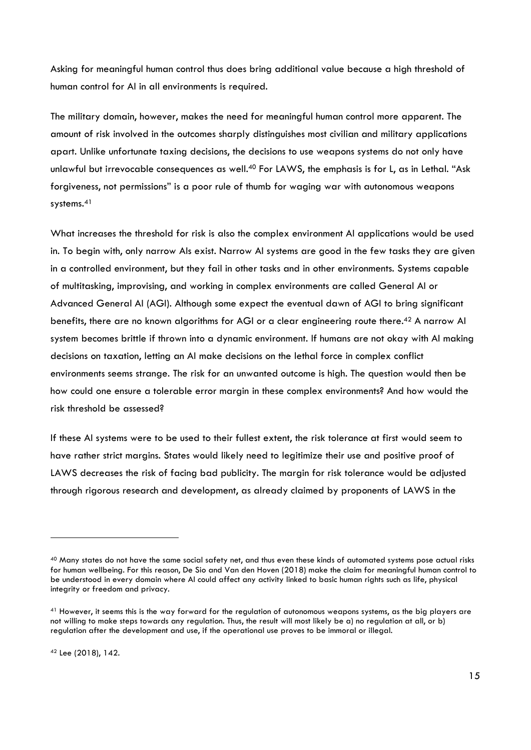Asking for meaningful human control thus does bring additional value because a high threshold of human control for AI in all environments is required.

The military domain, however, makes the need for meaningful human control more apparent. The amount of risk involved in the outcomes sharply distinguishes most civilian and military applications apart. Unlike unfortunate taxing decisions, the decisions to use weapons systems do not only have unlawful but irrevocable consequences as well.<sup>40</sup> For LAWS, the emphasis is for L, as in Lethal. "Ask forgiveness, not permissions" is a poor rule of thumb for waging war with autonomous weapons systems.<sup>41</sup>

What increases the threshold for risk is also the complex environment AI applications would be used in. To begin with, only narrow AIs exist. Narrow AI systems are good in the few tasks they are given in a controlled environment, but they fail in other tasks and in other environments. Systems capable of multitasking, improvising, and working in complex environments are called General AI or Advanced General AI (AGI). Although some expect the eventual dawn of AGI to bring significant benefits, there are no known algorithms for AGI or a clear engineering route there.<sup>42</sup> A narrow AI system becomes brittle if thrown into a dynamic environment. If humans are not okay with AI making decisions on taxation, letting an AI make decisions on the lethal force in complex conflict environments seems strange. The risk for an unwanted outcome is high. The question would then be how could one ensure a tolerable error margin in these complex environments? And how would the risk threshold be assessed?

If these AI systems were to be used to their fullest extent, the risk tolerance at first would seem to have rather strict margins. States would likely need to legitimize their use and positive proof of LAWS decreases the risk of facing bad publicity. The margin for risk tolerance would be adjusted through rigorous research and development, as already claimed by proponents of LAWS in the

<sup>&</sup>lt;sup>40</sup> Many states do not have the same social safety net, and thus even these kinds of automated systems pose actual risks for human wellbeing. For this reason, De Sio and Van den Hoven (2018) make the claim for meaningful human control to be understood in every domain where AI could affect any activity linked to basic human rights such as life, physical integrity or freedom and privacy.

<sup>41</sup> However, it seems this is the way forward for the regulation of autonomous weapons systems, as the big players are not willing to make steps towards any regulation. Thus, the result will most likely be a) no regulation at all, or b) regulation after the development and use, if the operational use proves to be immoral or illegal.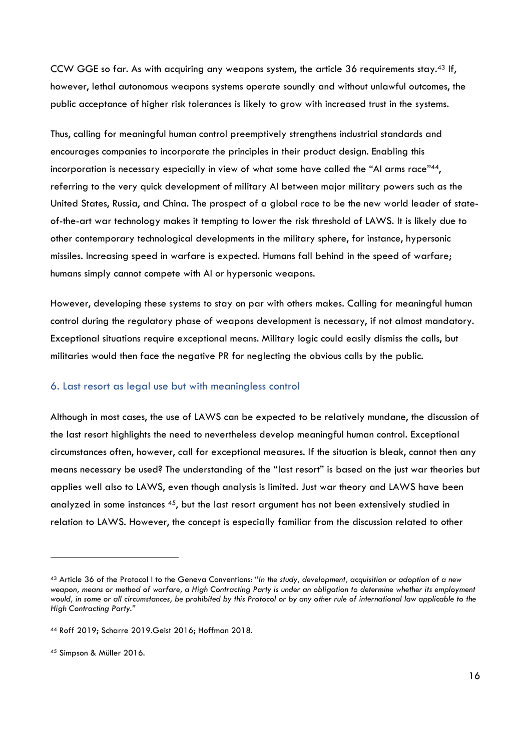CCW GGE so far. As with acquiring any weapons system, the article 36 requirements stay.43 If, however, lethal autonomous weapons systems operate soundly and without unlawful outcomes, the public acceptance of higher risk tolerances is likely to grow with increased trust in the systems.

Thus, calling for meaningful human control preemptively strengthens industrial standards and encourages companies to incorporate the principles in their product design. Enabling this incorporation is necessary especially in view of what some have called the "AI arms race"44, referring to the very quick development of military AI between major military powers such as the United States, Russia, and China. The prospect of a global race to be the new world leader of stateof-the-art war technology makes it tempting to lower the risk threshold of LAWS. It is likely due to other contemporary technological developments in the military sphere, for instance, hypersonic missiles. Increasing speed in warfare is expected. Humans fall behind in the speed of warfare; humans simply cannot compete with AI or hypersonic weapons.

However, developing these systems to stay on par with others makes. Calling for meaningful human control during the regulatory phase of weapons development is necessary, if not almost mandatory. Exceptional situations require exceptional means. Military logic could easily dismiss the calls, but militaries would then face the negative PR for neglecting the obvious calls by the public.

#### 6. Last resort as legal use but with meaningless control

Although in most cases, the use of LAWS can be expected to be relatively mundane, the discussion of the last resort highlights the need to nevertheless develop meaningful human control. Exceptional circumstances often, however, call for exceptional measures. If the situation is bleak, cannot then any means necessary be used? The understanding of the "last resort" is based on the just war theories but applies well also to LAWS, even though analysis is limited. Just war theory and LAWS have been analyzed in some instances 45, but the last resort argument has not been extensively studied in relation to LAWS. However, the concept is especially familiar from the discussion related to other

<sup>43</sup> Article 36 of the Protocol I to the Geneva Conventions: "In the study, development, acquisition or adoption of a new weapon, means or method of warfare, a High Contracting Party is under an obligation to determine whether its employment would, in some or all circumstances, be prohibited by this Protocol or by any other rule of international law applicable to the High Contracting Party."

<sup>44</sup> Roff 2019; Scharre 2019.Geist 2016; Hoffman 2018.

<sup>45</sup> Simpson & Müller 2016.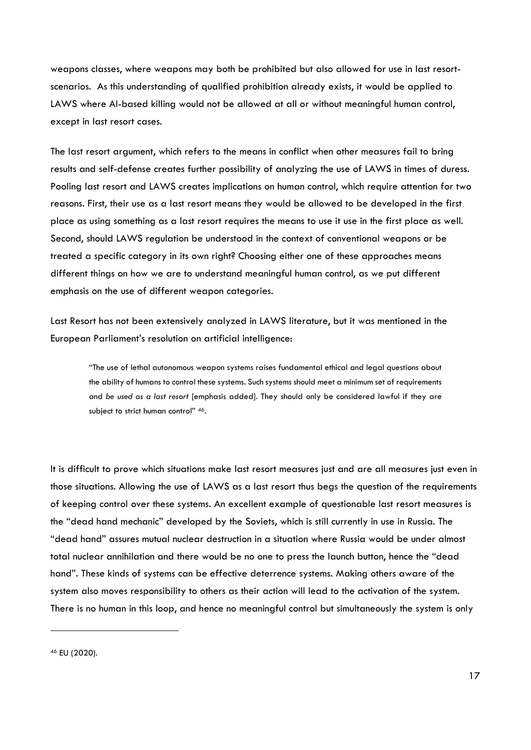weapons classes, where weapons may both be prohibited but also allowed for use in last resortscenarios. As this understanding of qualified prohibition already exists, it would be applied to LAWS where AI-based killing would not be allowed at all or without meaningful human control, except in last resort cases.

The last resort argument, which refers to the means in conflict when other measures fail to bring results and self-defense creates further possibility of analyzing the use of LAWS in times of duress. Pooling last resort and LAWS creates implications on human control, which require attention for two reasons. First, their use as a last resort means they would be allowed to be developed in the first place as using something as a last resort requires the means to use it use in the first place as well. Second, should LAWS regulation be understood in the context of conventional weapons or be treated a specific category in its own right? Choosing either one of these approaches means different things on how we are to understand meaningful human control, as we put different emphasis on the use of different weapon categories.

Last Resort has not been extensively analyzed in LAWS literature, but it was mentioned in the European Parliament's resolution on artificial intelligence:

"The use of lethal autonomous weapon systems raises fundamental ethical and legal questions about the ability of humans to control these systems. Such systems should meet a minimum set of requirements and be used as a last resort [emphasis added]. They should only be considered lawful if they are subject to strict human control" 46.

It is difficult to prove which situations make last resort measures just and are all measures just even in those situations. Allowing the use of LAWS as a last resort thus begs the question of the requirements of keeping control over these systems. An excellent example of questionable last resort measures is the "dead hand mechanic" developed by the Soviets, which is still currently in use in Russia. The "dead hand" assures mutual nuclear destruction in a situation where Russia would be under almost total nuclear annihilation and there would be no one to press the launch button, hence the "dead hand". These kinds of systems can be effective deterrence systems. Making others aware of the system also moves responsibility to others as their action will lead to the activation of the system. There is no human in this loop, and hence no meaningful control but simultaneously the system is only

46 EU (2020).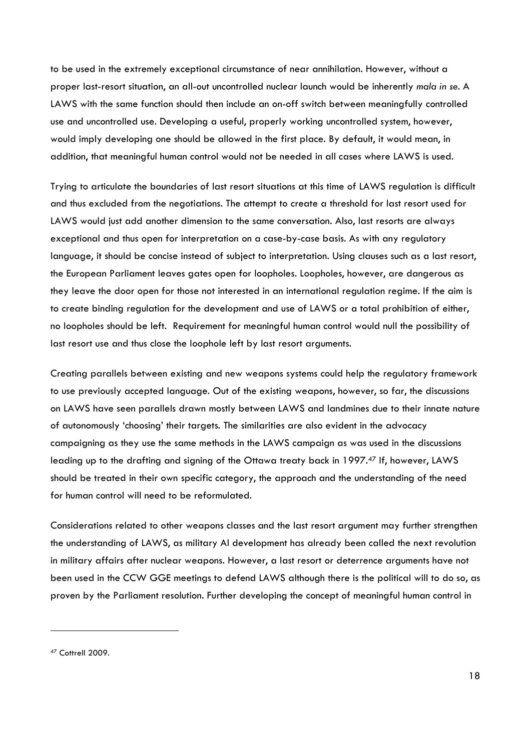to be used in the extremely exceptional circumstance of near annihilation. However, without a proper last-resort situation, an all-out uncontrolled nuclear launch would be inherently mala in se. A LAWS with the same function should then include an on-off switch between meaningfully controlled use and uncontrolled use. Developing a useful, properly working uncontrolled system, however, would imply developing one should be allowed in the first place. By default, it would mean, in addition, that meaningful human control would not be needed in all cases where LAWS is used.

Trying to articulate the boundaries of last resort situations at this time of LAWS regulation is difficult and thus excluded from the negotiations. The attempt to create a threshold for last resort used for LAWS would just add another dimension to the same conversation. Also, last resorts are always exceptional and thus open for interpretation on a case-by-case basis. As with any regulatory language, it should be concise instead of subject to interpretation. Using clauses such as a last resort, the European Parliament leaves gates open for loopholes. Loopholes, however, are dangerous as they leave the door open for those not interested in an international regulation regime. If the aim is to create binding regulation for the development and use of LAWS or a total prohibition of either, no loopholes should be left. Requirement for meaningful human control would null the possibility of last resort use and thus close the loophole left by last resort arguments.

Creating parallels between existing and new weapons systems could help the regulatory framework to use previously accepted language. Out of the existing weapons, however, so far, the discussions on LAWS have seen parallels drawn mostly between LAWS and landmines due to their innate nature of autonomously 'choosing' their targets. The similarities are also evident in the advocacy campaigning as they use the same methods in the LAWS campaign as was used in the discussions leading up to the drafting and signing of the Ottawa treaty back in 1997.47 If, however, LAWS should be treated in their own specific category, the approach and the understanding of the need for human control will need to be reformulated.

Considerations related to other weapons classes and the last resort argument may further strengthen the understanding of LAWS, as military AI development has already been called the next revolution in military affairs after nuclear weapons. However, a last resort or deterrence arguments have not been used in the CCW GGE meetings to defend LAWS although there is the political will to do so, as proven by the Parliament resolution. Further developing the concept of meaningful human control in

<sup>47</sup> Cottrell 2009.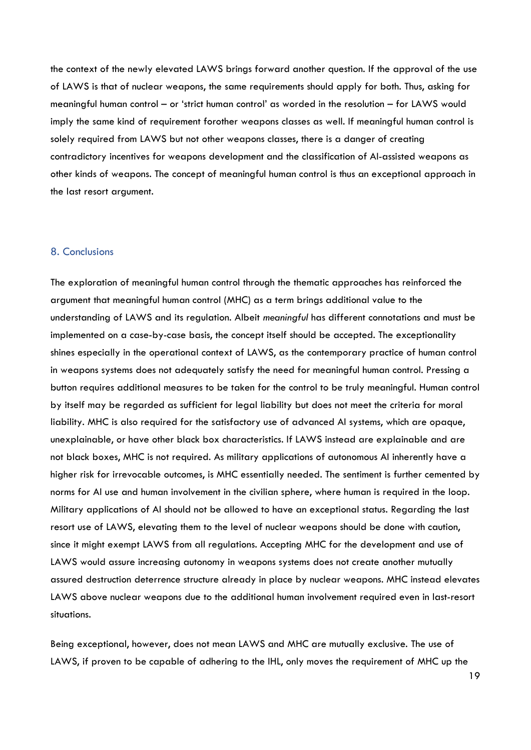the context of the newly elevated LAWS brings forward another question. If the approval of the use of LAWS is that of nuclear weapons, the same requirements should apply for both. Thus, asking for meaningful human control – or 'strict human control' as worded in the resolution – for LAWS would imply the same kind of requirement forother weapons classes as well. If meaningful human control is solely required from LAWS but not other weapons classes, there is a danger of creating contradictory incentives for weapons development and the classification of AI-assisted weapons as other kinds of weapons. The concept of meaningful human control is thus an exceptional approach in the last resort argument.

#### 8. Conclusions

The exploration of meaningful human control through the thematic approaches has reinforced the argument that meaningful human control (MHC) as a term brings additional value to the understanding of LAWS and its regulation. Albeit meaningful has different connotations and must be implemented on a case-by-case basis, the concept itself should be accepted. The exceptionality shines especially in the operational context of LAWS, as the contemporary practice of human control in weapons systems does not adequately satisfy the need for meaningful human control. Pressing a button requires additional measures to be taken for the control to be truly meaningful. Human control by itself may be regarded as sufficient for legal liability but does not meet the criteria for moral liability. MHC is also required for the satisfactory use of advanced AI systems, which are opaque, unexplainable, or have other black box characteristics. If LAWS instead are explainable and are not black boxes, MHC is not required. As military applications of autonomous AI inherently have a higher risk for irrevocable outcomes, is MHC essentially needed. The sentiment is further cemented by norms for AI use and human involvement in the civilian sphere, where human is required in the loop. Military applications of AI should not be allowed to have an exceptional status. Regarding the last resort use of LAWS, elevating them to the level of nuclear weapons should be done with caution, since it might exempt LAWS from all regulations. Accepting MHC for the development and use of LAWS would assure increasing autonomy in weapons systems does not create another mutually assured destruction deterrence structure already in place by nuclear weapons. MHC instead elevates LAWS above nuclear weapons due to the additional human involvement required even in last-resort situations.

Being exceptional, however, does not mean LAWS and MHC are mutually exclusive. The use of LAWS, if proven to be capable of adhering to the IHL, only moves the requirement of MHC up the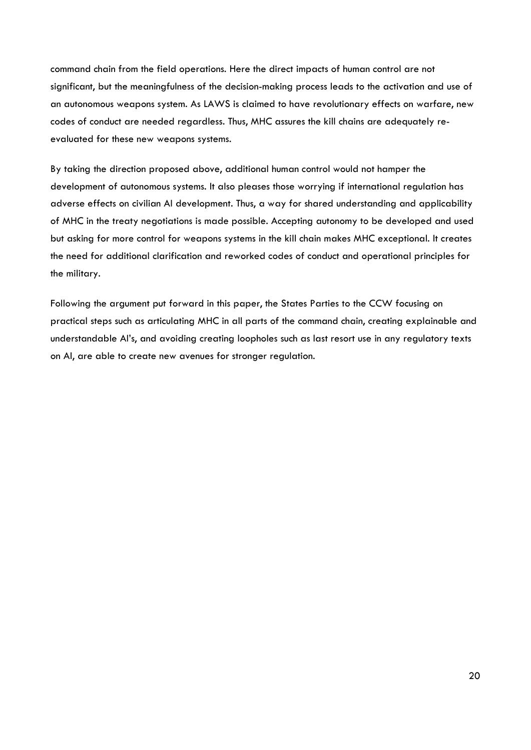command chain from the field operations. Here the direct impacts of human control are not significant, but the meaningfulness of the decision-making process leads to the activation and use of an autonomous weapons system. As LAWS is claimed to have revolutionary effects on warfare, new codes of conduct are needed regardless. Thus, MHC assures the kill chains are adequately reevaluated for these new weapons systems.

By taking the direction proposed above, additional human control would not hamper the development of autonomous systems. It also pleases those worrying if international regulation has adverse effects on civilian AI development. Thus, a way for shared understanding and applicability of MHC in the treaty negotiations is made possible. Accepting autonomy to be developed and used but asking for more control for weapons systems in the kill chain makes MHC exceptional. It creates the need for additional clarification and reworked codes of conduct and operational principles for the military.

Following the argument put forward in this paper, the States Parties to the CCW focusing on practical steps such as articulating MHC in all parts of the command chain, creating explainable and understandable AI's, and avoiding creating loopholes such as last resort use in any regulatory texts on AI, are able to create new avenues for stronger regulation.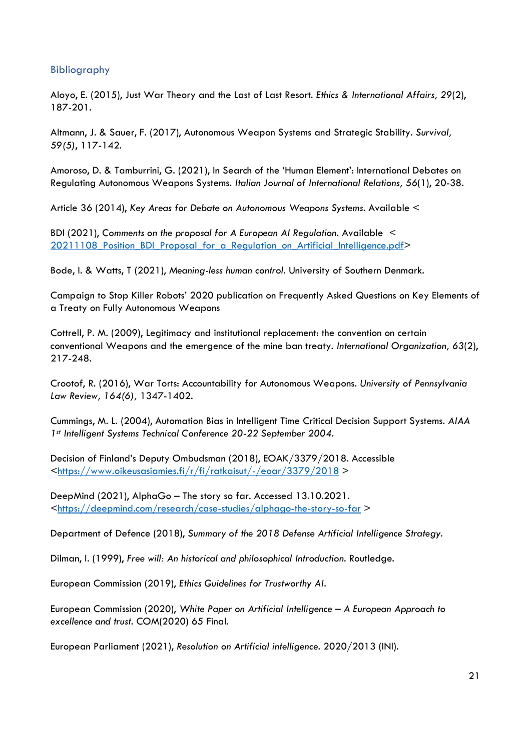# Bibliography

Aloyo, E. (2015), Just War Theory and the Last of Last Resort. Ethics & International Affairs, 29(2), 187-201.

Altmann, J. & Sauer, F. (2017), Autonomous Weapon Systems and Strategic Stability. Survival, 59(5), 117-142.

Amoroso, D. & Tamburrini, G. (2021), In Search of the 'Human Element': International Debates on Regulating Autonomous Weapons Systems. Italian Journal of International Relations, 56(1), 20-38.

Article 36 (2014), Key Areas for Debate on Autonomous Weapons Systems. Available <

BDI (2021), Comments on the proposal for A European AI Regulation. Available < 20211108 Position BDI Proposal for a Regulation on Artificial Intelligence.pdf>

Bode, I. & Watts, T (2021), Meaning-less human control. University of Southern Denmark.

Campaign to Stop Killer Robots' 2020 publication on Frequently Asked Questions on Key Elements of a Treaty on Fully Autonomous Weapons

Cottrell, P. M. (2009), Legitimacy and institutional replacement: the convention on certain conventional Weapons and the emergence of the mine ban treaty. International Organization, 63(2), 217-248.

Crootof, R. (2016), War Torts: Accountability for Autonomous Weapons. University of Pennsylvania Law Review, 164(6), 1347-1402.

Cummings, M. L. (2004), Automation Bias in Intelligent Time Critical Decision Support Systems. AIAA 1st Intelligent Systems Technical Conference 20-22 September 2004.

Decision of Finland's Deputy Ombudsman (2018), EOAK/3379/2018. Accessible <https://www.oikeusasiamies.fi/r/fi/ratkaisut/-/eoar/3379/2018 >

DeepMind (2021), AlphaGo – The story so far. Accessed 13.10.2021. <https://deepmind.com/research/case-studies/alphago-the-story-so-far >

Department of Defence (2018), Summary of the 2018 Defense Artificial Intelligence Strategy.

Dilman, I. (1999), Free will: An historical and philosophical Introduction. Routledge.

European Commission (2019), Ethics Guidelines for Trustworthy AI.

European Commission (2020), White Paper on Artificial Intelligence – A European Approach to excellence and trust. COM(2020) 65 Final.

European Parliament (2021), Resolution on Artificial intelligence. 2020/2013 (INI).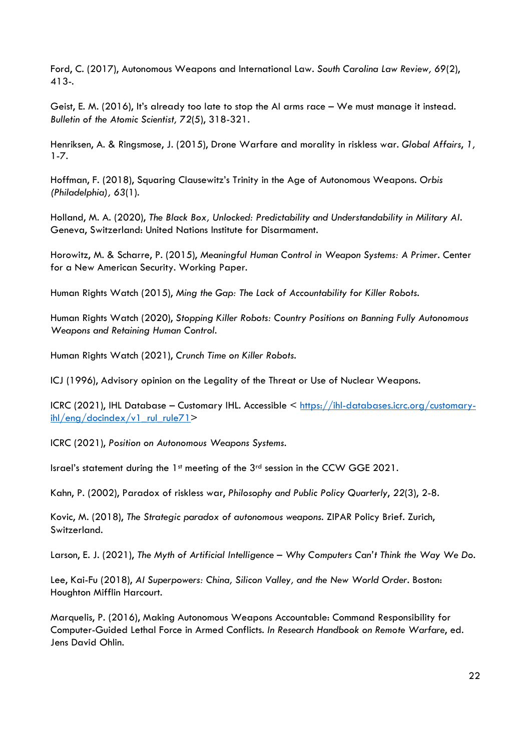Ford, C. (2017), Autonomous Weapons and International Law. South Carolina Law Review, 69(2), 413-.

Geist, E. M. (2016), It's already too late to stop the AI arms race – We must manage it instead. Bulletin of the Atomic Scientist, 72(5), 318-321.

Henriksen, A. & Ringsmose, J. (2015), Drone Warfare and morality in riskless war. Global Affairs, 1, 1-7.

Hoffman, F. (2018), Squaring Clausewitz's Trinity in the Age of Autonomous Weapons. Orbis (Philadelphia), 63(1).

Holland, M. A. (2020), The Black Box, Unlocked: Predictability and Understandability in Military AI. Geneva, Switzerland: United Nations Institute for Disarmament.

Horowitz, M. & Scharre, P. (2015), Meaningful Human Control in Weapon Systems: A Primer. Center for a New American Security. Working Paper.

Human Rights Watch (2015), Ming the Gap: The Lack of Accountability for Killer Robots.

Human Rights Watch (2020), Stopping Killer Robots: Country Positions on Banning Fully Autonomous Weapons and Retaining Human Control.

Human Rights Watch (2021), Crunch Time on Killer Robots.

ICJ (1996), Advisory opinion on the Legality of the Threat or Use of Nuclear Weapons.

ICRC (2021), IHL Database – Customary IHL. Accessible < https://ihl-databases.icrc.org/customaryihl/eng/docindex/v1\_rul\_rule71>

ICRC (2021), Position on Autonomous Weapons Systems.

Israel's statement during the 1st meeting of the 3rd session in the CCW GGE 2021.

Kahn, P. (2002), Paradox of riskless war, Philosophy and Public Policy Quarterly, 22(3), 2-8.

Kovic, M. (2018), The Strategic paradox of autonomous weapons. ZIPAR Policy Brief. Zurich, Switzerland.

Larson, E. J. (2021), The Myth of Artificial Intelligence – Why Computers Can't Think the Way We Do.

Lee, Kai-Fu (2018), AI Superpowers: China, Silicon Valley, and the New World Order. Boston: Houghton Mifflin Harcourt.

Marquelis, P. (2016), Making Autonomous Weapons Accountable: Command Responsibility for Computer-Guided Lethal Force in Armed Conflicts. In Research Handbook on Remote Warfare, ed. Jens David Ohlin.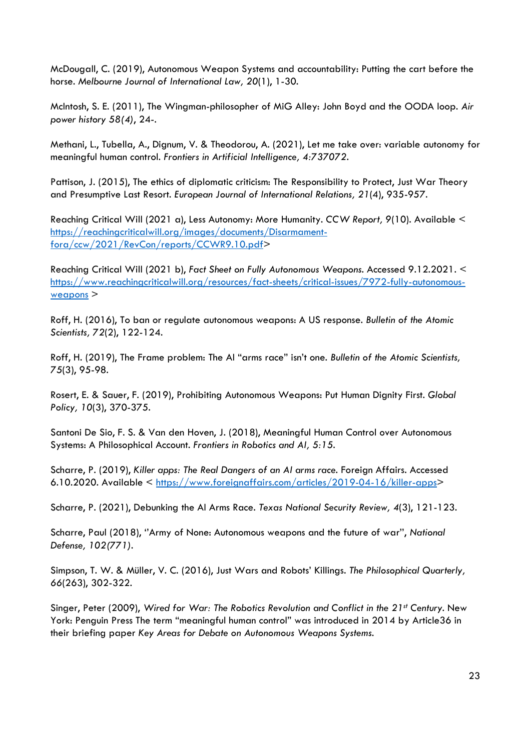McDougall, C. (2019), Autonomous Weapon Systems and accountability: Putting the cart before the horse. Melbourne Journal of International Law, 20(1), 1-30.

McIntosh, S. E. (2011), The Wingman-philosopher of MiG Alley: John Boyd and the OODA loop. Air power history 58(4), 24-.

Methani, L., Tubella, A., Dignum, V. & Theodorou, A. (2021), Let me take over: variable autonomy for meaningful human control. Frontiers in Artificial Intelligence, 4:737072.

Pattison, J. (2015), The ethics of diplomatic criticism: The Responsibility to Protect, Just War Theory and Presumptive Last Resort. European Journal of International Relations, 21(4), 935-957.

Reaching Critical Will (2021 a), Less Autonomy: More Humanity. CCW Report, 9(10). Available < https://reachingcriticalwill.org/images/documents/Disarmamentfora/ccw/2021/RevCon/reports/CCWR9.10.pdf>

Reaching Critical Will (2021 b), Fact Sheet on Fully Autonomous Weapons. Accessed 9.12.2021. < https://www.reachingcriticalwill.org/resources/fact-sheets/critical-issues/7972-fully-autonomousweapons >

Roff, H. (2016), To ban or regulate autonomous weapons: A US response. Bulletin of the Atomic Scientists, 72(2), 122-124.

Roff, H. (2019), The Frame problem: The AI "arms race" isn't one. Bulletin of the Atomic Scientists, 75(3), 95-98.

Rosert, E. & Sauer, F. (2019), Prohibiting Autonomous Weapons: Put Human Dignity First. Global Policy, 10(3), 370-375.

Santoni De Sio, F. S. & Van den Hoven, J. (2018), Meaningful Human Control over Autonomous Systems: A Philosophical Account. Frontiers in Robotics and AI, 5:15.

Scharre, P. (2019), Killer apps: The Real Dangers of an AI arms race. Foreign Affairs. Accessed 6.10.2020. Available < https://www.foreignaffairs.com/articles/2019-04-16/killer-apps>

Scharre, P. (2021), Debunking the AI Arms Race. Texas National Security Review, 4(3), 121-123.

Scharre, Paul (2018), ''Army of None: Autonomous weapons and the future of war'', National Defense, 102(771).

Simpson, T. W. & Müller, V. C. (2016), Just Wars and Robots' Killings. The Philosophical Quarterly, 66(263), 302-322.

Singer, Peter (2009), Wired for War: The Robotics Revolution and Conflict in the 21st Century. New York: Penguin Press The term "meaningful human control" was introduced in 2014 by Article36 in their briefing paper Key Areas for Debate on Autonomous Weapons Systems.